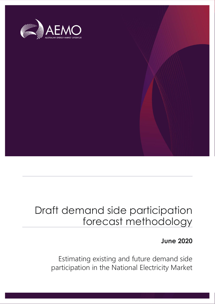

# Draft demand side participation forecast methodology

# **June 2020**

Estimating existing and future demand side participation in the National Electricity Market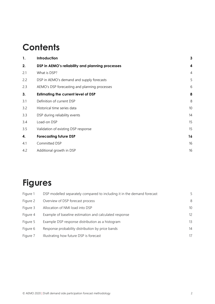# **Contents**

| 1.  | Introduction                                     | 3              |
|-----|--------------------------------------------------|----------------|
| 2.  | DSP in AEMO's reliability and planning processes | 4              |
| 2.1 | What is DSP?                                     | $\overline{4}$ |
| 2.2 | DSP in AEMO's demand and supply forecasts        | 5              |
| 2.3 | AEMO's DSP forecasting and planning processes    | 6              |
| 3.  | <b>Estimating the current level of DSP</b>       | 8              |
| 3.1 | Definition of current DSP                        | 8              |
| 3.2 | Historical time series data                      | 10             |
| 3.3 | DSP during reliability events                    | 14             |
| 3.4 | Load-on DSP                                      | 15             |
| 3.5 | Validation of existing DSP response              | 15             |
| 4.  | <b>Forecasting future DSP</b>                    | 16             |
| 4.1 | Committed DSP                                    | 16             |
| 4.2 | Additional growth in DSP                         | 16             |

# **Figures**

| Figure 1 | DSP modelled separately compared to including it in the demand forecast | 5                 |
|----------|-------------------------------------------------------------------------|-------------------|
| Figure 2 | Overview of DSP forecast process                                        | 8                 |
| Figure 3 | Allocation of NMI load into DSP                                         | 10 <sup>1</sup>   |
| Figure 4 | Example of baseline estimation and calculated response                  | $12 \overline{ }$ |
| Figure 5 | Example DSP response distribution as a histogram                        | 13                |
| Figure 6 | Response probability distribution by price bands                        | 14                |
| Figure 7 | Illustrating how future DSP is forecast                                 | 17                |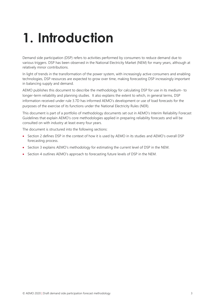# <span id="page-2-0"></span>**1. Introduction**

Demand side participation (DSP) refers to activities performed by consumers to reduce demand due to various triggers. DSP has been observed in the National Electricity Market (NEM) for many years, although at relatively minor contributions.

In light of trends in the transformation of the power system, with increasingly active consumers and enabling technologies, DSP resources are expected to grow over time, making forecasting DSP increasingly important in balancing supply and demand.

AEMO publishes this document to describe the methodology for calculating DSP for use in its medium- to longer-term reliability and planning studies. It also explains the extent to which, in general terms, DSP information received under rule 3.7D has informed AEMO's development or use of load forecasts for the purposes of the exercise of its functions under the National Electricity Rules (NER).

This document is part of a portfolio of methodology documents set out in AEMO's Interim Reliability Forecast Guidelines that explain AEMO's core methodologies applied in preparing reliability forecasts and will be consulted on with industry at least every four years.

The document is structured into the following sections:

- Section 2 defines DSP in the context of how it is used by AEMO in its studies and AEMO's overall DSP forecasting process.
- Section 3 explains AEMO's methodology for estimating the current level of DSP in the NEM.
- Section 4 outlines AEMO's approach to forecasting future levels of DSP in the NEM.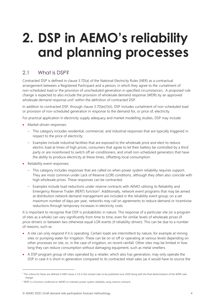# <span id="page-3-0"></span>**2. DSP in AEMO's reliability and planning processes**

# <span id="page-3-1"></span>2.1 What is DSP?

Contracted DSP is defined in clause 3.7D(a) of the National Electricity Rules (NER) as a contractual arrangement between a Registered Participant and a person, in which they agree to the curtailment of non-scheduled load or the provision of unscheduled generation in specified circumstances. A proposed rule change is expected to also include the provision of wholesale demand response (WDR) by an approved wholesale demand response unit<sup>1</sup> within the definition of contracted DSP.

In addition to contracted DSP, through clause 3.7D(e)(1)(ii), DSP includes curtailment of non-scheduled load or provision of non-scheduled generation in response to the demand for, or price of, electricity.

For practical application in electricity supply adequacy and market modelling studies, DSP may include:

- Market-driven responses:
	- This category includes residential, commercial, and industrial responses that are typically triggered in respect to the price of electricity.
	- Examples include industrial facilities that are exposed to the wholesale price and elect to reduce electric load at times of high prices, consumers that agree to let their battery be controlled by a third party or are incentivised to switch off air-conditioners, and small non-scheduled generators that have the ability to produce electricity at these times, offsetting local consumption.
- Reliability event responses:
	- This category includes responses that are called on when power system reliability requires support. They are most common under Lack of Reserve (LOR) conditions, although they often also coincide with high wholesale prices. These responses can be contracted.
	- Examples include load reductions under reserve contracts with AEMO utilising its Reliability and Emergency Reserve Trader (RERT) function<sup>2</sup>. Additionally, network event programs that may be aimed at distribution network demand management are included in the reliability event group; on a set maximum number of days per year, networks may call on agreements to reduce demand or incentivise reductions through temporary increases in electricity costs.

It is important to recognise that DSP is probabilistic in nature. The response of a particular site (or a program of sites as a whole) can vary significantly from time to time, even for similar levels of wholesale prices (if price-driven) or between two otherwise equal LOR events (if reliability-driven). This can be due to a number of reasons, such as:

- A site can only respond if it is operating. Certain loads are intermittent by nature, for example at mining sites or pumping water for irrigation. These can be on or off or operating at various levels depending on other processes on site, or, in the case of irrigation, on recent rainfall. Other sites may be limited in how long they can reduce consumption without damaging equipment, such as metal smelters.
- A DSP program group of sites operated by a retailer, which also has generation, may only operate the DSP in case it is short in generation compared to its contracted retail sales (as it would have to source the

<sup>1</sup> The criteria for these are defined in NER clause 2.3.6 in the revised rules to be published June 2020 along with the final determination of the WDR rules change.

<sup>&</sup>lt;sup>2</sup> RERT is a function conferred on AEMO to maintain power system reliability using reserve contracts.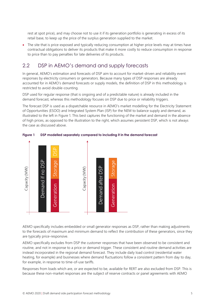rest at spot price), and may choose not to use it if its generation portfolio is generating in excess of its retail base, to keep up the price of the surplus generation supplied to the market.

The site that is price-exposed and typically reducing consumption at higher price levels may at times have contractual obligations to deliver its products that make it more costly to reduce consumption in response to price than to pay penalties for late deliveries of its products.

## <span id="page-4-0"></span>2.2 DSP in AEMO's demand and supply forecasts

In general, AEMO's estimation and forecasts of DSP aim to account for market-driven and reliability event responses by electricity consumers or generators. Because many types of DSP responses are already accounted for in AEMO's demand forecasts or supply models, the definition of DSP in this methodology is restricted to avoid double-counting.

DSP used for regular response (that is ongoing and of a predictable nature) is already included in the demand forecast, whereas this methodology focuses on DSP due to price or reliability triggers.

The forecast DSP is used as a dispatchable resource in AEMO's market modelling for the Electricity Statement of Opportunities (ESOO) and Integrated System Plan (ISP) for the NEM to balance supply and demand, as illustrated to the left in [Figure 1.](#page-4-1) This best captures the functioning of the market and demand in the absence of high prices, as opposed to the illustration to the right, which assumes persistent DSP, which is not always the case as discussed above.



<span id="page-4-1"></span>**Figure 1 DSP modelled separately compared to including it in the demand forecast**

AEMO specifically includes embedded or small generator responses as DSP, rather than making adjustments to the forecasts of maximum and minimum demand to reflect the contribution of these generators, since they are typically price-responsive.

AEMO specifically excludes from DSP the customer responses that have been observed to be consistent and routine, and not in response to a price or demand trigger. These consistent and routine demand activities are instead incorporated in the regional demand forecast. They include daily load control (residential water heating, for example) and businesses where demand fluctuations follow a consistent pattern from day to day, for example, in response to time-of-use tariffs.

Responses from loads which are, or are expected to be, available for RERT are also excluded from DSP. This is because these non-market responses are the subject of reserve contracts or panel agreements with AEMO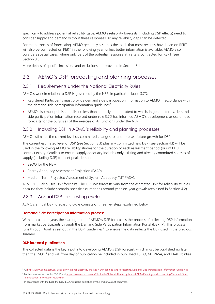specifically to address potential reliability gaps. AEMO's reliability forecasts (including DSP effects) need to consider supply and demand without these responses, so any reliability gaps can be detected.

For the purposes of forecasting, AEMO generally assumes the loads that most recently have been on RERT will also be contracted on RERT in the following year, unless better information is available. AEMO also considers special cases, where only part of the potential response at a site is contracted for RERT (see Section [3.3\)](#page-13-0).

More details of specific inclusions and exclusions are provided in Section 3.1.

## <span id="page-5-0"></span>2.3 AEMO's DSP forecasting and planning processes

#### 2.3.1 Requirements under the National Electricity Rules

AEMO's work in relation to DSP is governed by the NER, in particular clause 3.7D:

- Registered Participants must provide demand side participation information to AEMO in accordance with the demand side participation information guidelines<sup>3</sup>.
- AEMO also must publish details, no less than annually, on the extent to which, in general terms, demand side participation information received under rule 3.7D has informed AEMO's development or use of load forecasts for the purposes of the exercise of its functions under the NER.

#### <span id="page-5-1"></span>2.3.2 Including DSP in AEMO's reliability and planning processes

AEMO estimates the current level of, committed changes to, and forecast future growth for DSP.

The current estimated level of DSP (see Section [3.3\)](#page-13-0) plus any committed new DSP (see Section [4.1\)](#page-15-1) will be used in the following AEMO reliability studies for the duration of each assessment period (or until DSP contract expiry if earlier) to ensure supply adequacy includes only existing and already committed sources of supply (including DSP) to meet peak demand:

- ESOO for the NEM.
- Energy Adequacy Assessment Projection (EAAP).
- Medium Term Projected Assessment of System Adequacy (MT PASA).

AEMO's ISP also uses DSP forecasts. The ISP DSP forecasts vary from the estimated DSP for reliability studies, because they include scenario-specific assumptions around year-on-year growth (explained in Section [4.2\)](#page-15-2).

#### 2.3.3 Annual DSP forecasting cycle

AEMO's annual DSP forecasting cycle consists of three key steps, explained below.

#### **Demand Side Participation Information process**

Within a calendar year, the starting point of AEMO's DSP forecast is the process of collecting DSP information from market participants through the Demand Side Participation Information Portal (DSP IP). This process runs through April, as set out in the DSPI Guidelines<sup>4</sup>, to ensure the data reflects the DSP used in the previous summer.

#### **DSP forecast publication**

The collected data is the key input into developing AEMO's DSP forecast, which must be published no later than the ESOO<sup>5</sup> and will from day of publication be included in published ESOO, MT PASA, and EAAP studies

<sup>3</sup> A[t https://www.aemo.com.au/Electricity/National-Electricity-Market-NEM/Planning-and-forecasting/Demand-Side-Participation-Information-Guidelines](https://www.aemo.com.au/Electricity/National-Electricity-Market-NEM/Planning-and-forecasting/Demand-Side-Participation-Information-Guidelines)

<sup>4</sup> Further information on the DSP IP is a[t https://www.aemo.com.au/Electricity/National-Electricity-Market-NEM/Planning-and-forecasting/Demand-Side-](https://www.aemo.com.au/Electricity/National-Electricity-Market-NEM/Planning-and-forecasting/Demand-Side-Participation-Information-Guidelines)[Participation-Information-Guidelines](https://www.aemo.com.au/Electricity/National-Electricity-Market-NEM/Planning-and-forecasting/Demand-Side-Participation-Information-Guidelines)

<sup>&</sup>lt;sup>5</sup> In accordance with the NER, the NEM ESOO must be published by the end of August each year.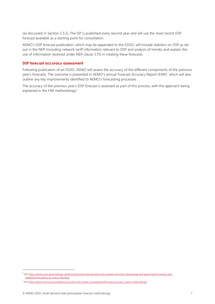(as discussed in Section [2.3.2\)](#page-5-1). The ISP is published every second year and will use the most recent DSP forecast available as a starting point for consultation.

AEMO's DSP forecast publication, which may be appended to the ESOO, will include statistics on DSP as set out in the NER (including network tariff information relevant to DSP and analysis of trends) and explain the use of information received under NER clause 3.7D in creating these forecasts.

#### **DSP forecast accuracy assessment**

Following publication of an ESOO, AEMO will assess the accuracy of the different components of the previous year's forecasts. The outcome is presented in AEMO's annual Forecast Accuracy Report (FAR)<sup>6</sup>, which will also outline any key improvements identified to AEMO's forecasting processes.

The accuracy of the previous year's DSP forecast is assessed as part of this process, with the approach being explained in the FAR methodology<sup>7</sup>.

<sup>6</sup> Se[e https://aemo.com.au/en/energy-systems/electricity/national-electricity-market-nem/nem-forecasting-and-planning/forecasting-and](https://aemo.com.au/en/energy-systems/electricity/national-electricity-market-nem/nem-forecasting-and-planning/forecasting-and-reliability/forecasting-accuracy-reporting)[reliability/forecasting-accuracy-reporting.](https://aemo.com.au/en/energy-systems/electricity/national-electricity-market-nem/nem-forecasting-and-planning/forecasting-and-reliability/forecasting-accuracy-reporting)

<sup>7</sup> Se[e https://aemo.com.au/consultations/current-and-closed-consultations/forecast-accuracy-report-methodology.](https://aemo.com.au/consultations/current-and-closed-consultations/forecast-accuracy-report-methodology)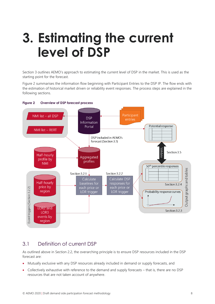# <span id="page-7-0"></span>**3. Estimating the current level of DSP**

Section [3](#page-7-0) outlines AEMO's approach to estimating the current level of DSP in the market. This is used as the starting point for the forecast.

[Figure 2](#page-7-2) summarises the information flow beginning with Participant Entries to the DSP IP. The flow ends with the estimation of historical market driven or reliability event responses. The process steps are explained in the following sections.



#### <span id="page-7-2"></span>**Figure 2 Overview of DSP forecast process**

## <span id="page-7-1"></span>3.1 Definition of current DSP

As outlined above in Section 2.2, the overarching principle is to ensure DSP resources included in the DSP forecast are:

- Mutually exclusive with any DSP resources already included in demand or supply forecasts, and
- Collectively exhaustive with reference to the demand and supply forecasts that is, there are no DSP resources that are not taken account of anywhere.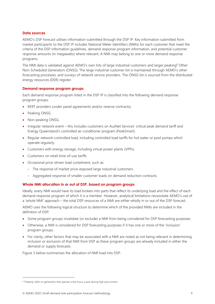#### **Data sources**

AEMO's DSP forecast utilises information submitted through the DSP IP. Key information submitted from market participants to the DSP IP includes National Meter Identifiers (NMIs) for each customer that meet the criteria of the DSP information guidelines, demand response program information, and potential customer response amounts (in megawatts) where relevant. A NMI may belong to one or more demand response programs.

The NMI data is validated against AEMO's own lists of large industrial customers and larger peaking<sup>8</sup> Other Non-Scheduled Generators (ONSG). The large industrial customer list is maintained through AEMO's other forecasting processes, and surveys of network service providers. The ONSG list is sourced from the distributed energy resources (DER) register.

#### **Demand response program groups**

Each demand response program listed in the DSP IP is classified into the following demand response program groups:

- RERT providers (under panel agreements and/or reserve contracts).
- Peaking ONSG.
- Non-peaking ONSG.
- Irregular network event this includes customers on AusNet Services' critical peak demand tariff and Energy Queensland's controlled air-conditioner program (PeakSmart).
- Regular network-controlled load, including controlled load tariffs for hot water or pool pumps which operate regularly.
- Customers with energy storage, including virtual power plants (VPPs).
- Customers on retail time-of-use tariffs.
- Occasional price-driven load curtailment, such as:
	- The response of market price-exposed large industrial customers.
	- Aggregated response of smaller customer loads on demand reduction contracts.

#### **Whole NMI allocation in or out of DSP, based on program groups**

Ideally, every NMI would have its load broken into parts that reflect its underlying load and the effect of each demand response program of which it is a member. However, analytical limitations necessitate AEMO's use of a 'whole NMI' approach – the total DSP resources of a NMI are either wholly in or out of the DSP forecast.

AEMO uses the following logical structure to determine which of the provided NMIs are included in the definition of DSP:

- Some program groups invalidate (or exclude) a NMI from being considered for DSP forecasting purposes.
- Otherwise, a NMI is considered for DSP forecasting purposes if it has one or more of the 'inclusion' program groups.
- For clarity, other factors that may be associated with a NMI are noted as not being relevant in determining inclusion or exclusion of that NMI from DSP as these program groups are already included in either the demand or supply forecasts.

Figure 3 below summarises the allocation of NMI load into DSP.

<sup>&</sup>lt;sup>8</sup> 'Peaking' refers to generators that operate a few hours a year during high price events.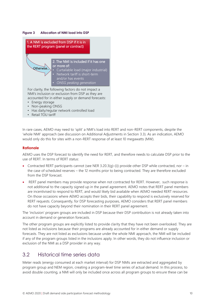#### <span id="page-9-1"></span>**Figure 3 Allocation of NMI load into DSP**



NMI's inclusion or exclusion from DSP as they are accounted for in either supply or demand forecasts:

- Energy storage
- Non-peaking ONSG
- Has daily/regular network controlled load
- Retail TOU tariff

In rare cases, AEMO may need to 'split' a NMI's load into RERT and non-RERT components, despite the 'whole NMI' approach (see discussion on Additional Adjustments in Section [3.3\)](#page-13-0). As an indication, AEMO would only do this for sites with a non-RERT response of at least 10 megawatts (MW).

#### **Rationale**

AEMO uses the DSP forecast to identify the need for RERT, and therefore needs to calculate DSP prior to the use of RERT. In terms of RERT status:

- Contracted RERT participants cannot (see NER 3.20.3(q)-(i)) provide other DSP while contracted, nor in the case of scheduled reserves – the 12 months prior to being contracted. They are therefore excluded from the DSP forecast.
- RERT panel members may provide response when not contracted for RERT. However, such response is not additional to the capacity signed up in the panel agreement. AEMO notes that RERT panel members are incentivised to respond to RERT, and would likely bid available when AEMO needed RERT resources. On those occasions where AEMO accepts their bids, their capability to respond is exclusively reserved for RERT requests. Consequently, for DSP forecasting purposes, AEMO considers that RERT panel members do not have capacity beyond their nomination in their RERT panel agreement.

The 'inclusion' program groups are included in DSP because their DSP contribution is not already taken into account in demand or generation forecasts.

The other program groups are explicitly listed to provide clarity that they have not been overlooked. They are not listed as inclusions because their programs are already accounted for in either demand or supply forecasts. They are not listed as exclusions because under the whole NMI approach, the NMI will be included if any of the program groups listed in the inclusions apply. In other words, they do not influence inclusion or exclusion of the NMI as a DSP provider in any way.

## <span id="page-9-0"></span>3.2 Historical time series data

Meter reads (energy consumed at each market interval) for DSP NMIs are extracted and aggregated by program group and NEM region, creating a program-level time series of actual demand. In this process, to avoid double counting, a NMI will only be included once across all program groups to ensure these can be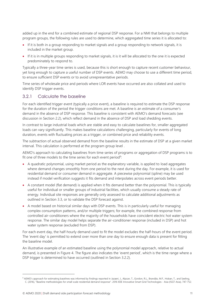added up in the end for a combined estimate of regional DSP response. For a NMI that belongs to multiple program groups, the following rules are used to determine, which aggregated time series it is allocated to:

- If it is both in a group responding to market signals and a group responding to network signals, it is included in the market group.
- If it is in multiple groups responding to market signals, it is it will be allocated to the one it is expected predominately to respond to.

Typically a three-year time series is used, because this is short enough to capture recent customer behaviour, yet long enough to capture a useful number of DSP events. AEMO may choose to use a different time period, to ensure sufficient DSP events or to avoid unrepresentative periods.

Time series of wholesale price and periods where LOR events have occurred are also collated and used to identify DSP trigger events.

#### <span id="page-10-0"></span>3.2.1 Calculate the baseline

For each identified trigger event (typically a price event), a baseline is required to estimate the DSP response for the duration of the period the trigger conditions are met. A baseline is an estimate of a consumer's demand in the absence of DSP response. This baseline is consistent with AEMO's demand forecasts (see discussion in Section [2.2\)](#page-4-0), which reflect demand in the absence of DSP and load shedding events.

In contrast to large industrial loads which are stable and easy to calculate baselines for, smaller aggregated loads can vary significantly. This makes baseline calculations challenging, particularly for events of long duration, events with fluctuating prices as a trigger, or combined price and reliability events.

The subtraction of actual observed demand from the baseline results in the estimate of DSP at a given market interval. This calculation is performed at the program group level .

AEMO's approach to calculating baselines from time series of programs or aggregation of DSP programs is to fit one of three models to the time series for each event period<sup>9</sup>:

- A quadratic polynomial, using market period as the explanatory variable, is applied to load aggregates where demand changes smoothly from one period to the next during the day. For example, it is used for residential demand or consumer demand in aggregate. A piecewise polynomial (spline) may be used instead if model verification suggests it fits demand and interpolates across event periods better.
- A constant model (flat demand) is applied when it fits demand better than the polynomial. This is typically useful for individual or smaller groups of industrial facilities, which usually consume a steady rate of energy. Individual site responses are generally only assessed to calculate additional adjustments as outlined in Section [3.3,](#page-13-0) or to validate the DSP forecast against.
- A model based on historical similar days with DSP events. This is in particularly useful for managing complex consumption patterns, and/or multiple triggers; for example, the combined response from controlled air-conditioners where the majority of the households have coincident electric hot water system response. The similar day model helps separate the air-conditioner response (included in DSP) and hot water system response (excluded from DSP).

For each event day, the half-hourly demand used to fit the model excludes the half-hours of the event period. The 'event day' is permitted to extend over more than one day to ensure enough data is present for fitting the baseline model.

An illustrative example of an estimated baseline using the polynomial model approach, relative to actual demand, is presented in [Figure 4](#page-11-0). The figure also indicates the 'event period', which is the time range where a DSP trigger is determined to have occurred (outlined in Section [3.2.2\)](#page-11-1).

<sup>9</sup> AEMO's approach for estimating baselines was informed by findings reported in Jazaeri, J., Alpcan, T., Gordon, R.L., Brandão, M.F., Hoban, T., and Seeling, C. (2016), "Baseline methodologies for small scale residential demand response". 2016 IEEE Innovative Smart Grid Technologies - Asia (ISGT-Asia), 747-752.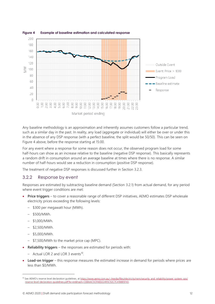

#### <span id="page-11-0"></span>**Figure 4 Example of baseline estimation and calculated response**

Any baseline methodology is an approximation and inherently assumes customers follow a particular trend, such as a similar day in the past. In reality, any load (aggregate or individual) will either be over or under this in the absence of any DSP response (with a perfect baseline, the split would be 50/50). This can be seen on Figure 4 above, before the response starting at 15:00.

For any event where a response for some reason does not occur, the observed program load for some half-hours can show as an increase relative to the baseline (negative DSP response). This basically represents a random drift in consumption around an average baseline at times where there is no response. A similar number of half-hours would see a reduction in consumption (positive DSP response).

The treatment of negative DSP responses is discussed further in Sectio[n 3.2.3.](#page-12-1)

#### <span id="page-11-1"></span>3.2.2 Response by event

Responses are estimated by subtracting baseline demand (Section [3.2.1\)](#page-10-0) from actual demand, for any period where event trigger conditions are met:

- **Price triggers** to cover a reasonable range of different DSP initiatives, AEMO estimates DSP wholesale electricity prices exceeding the following levels:
	- \$300 per megawatt hour (MWh).
	- \$500/MWh.
	- \$1,000/MWh.
	- \$2,500/MWh.
	- \$5,000/MWh.
	- \$7,500/MWh to the market price cap (MPC).
- **Reliability triggers** the responses are estimated for periods with:
	- Actual LOR 2 and LOR 3 events<sup>10</sup>.
- **Load-on trigger** this response measures the estimated increase in demand for periods where prices are less than \$0/MWh.

<sup>10</sup> See AEMO's reserve level declaration guidelines, at [https://www.aemo.com.au/-/media/files/electricity/nem/security\\_and\\_reliability/power\\_system\\_ops/](https://www.aemo.com.au/-/media/files/electricity/nem/security_and_reliability/power_system_ops/reserve-level-declaration-guidelines.pdf?la=en&hash=C6BAAC5CFAED22495C92C7C418885F43) [reserve-level-declaration-guidelines.pdf?la=en&hash=C6BAAC5CFAED22495C92C7C418885F43.](https://www.aemo.com.au/-/media/files/electricity/nem/security_and_reliability/power_system_ops/reserve-level-declaration-guidelines.pdf?la=en&hash=C6BAAC5CFAED22495C92C7C418885F43)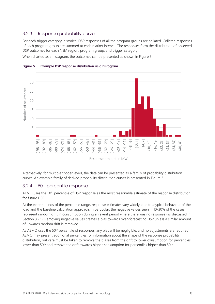#### <span id="page-12-1"></span>3.2.3 Response probability curve

For each trigger category, historical DSP responses of all the program groups are collated. Collated responses of each program group are summed at each market interval. The responses form the distribution of observed DSP outcomes for each NEM region, program group, and trigger category.

<span id="page-12-0"></span>When charted as a histogram, the outcomes can be presented as shown in [Figure 5.](#page-12-0)



**Figure 5 Example DSP response distribution as a histogram**

Alternatively, for multiple trigger levels, the data can be presented as a family of probability distribution curves. An example family of derived probability distribution curves is presented in [Figure 6.](#page-13-1)

#### 3.2.4 50th percentile response

AEMO uses the 50<sup>th</sup> percentile of DSP response as the most reasonable estimate of the response distribution for future DSP.

At the extreme ends of the percentile range, response estimates vary widely, due to atypical behaviour of the load and the baseline calculation approach. In particular, the negative values seen in 10-30% of the cases represent random drift in consumption during an event period where there was no response (as discussed in Section [3.2.1\)](#page-10-0). Removing negative values creates a bias towards over-forecasting DSP unless a similar amount of upwards random drift is removed.

As AEMO uses the 50th percentile of responses, any bias will be negligible, and no adjustments are required. AEMO may present additional percentiles for information about the shape of the response probability distribution, but care must be taken to remove the biases from the drift to lower consumption for percentiles lower than 50<sup>th</sup> and remove the drift towards higher consumption for percentiles higher than 50<sup>th</sup>.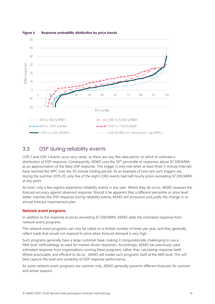

#### <span id="page-13-1"></span>**Figure 6 Response probability distribution by price bands**

## <span id="page-13-0"></span>3.3 DSP during reliability events

LOR 2 and LOR 3 events occur very rarely, so there are very few data points on which to estimate a distribution of DSP response. Consequently, AEMO uses the 50<sup>th</sup> percentile of responses above \$7,500/MWh as an approximation of the likely DSP response. This trigger is only met when at least three 5-minute intervals have reached the MPC over the 30-minute trading period. As an example of how rare such triggers are, during the summer 2019-20, only five of the eight LOR2 events had half-hourly prices exceeding \$7,500/MWh at any point.

At most, only a few regions experience reliability events in any year. Where they do occur, AEMO assesses the forecast accuracy against observed response. Should it be apparent that a different percentile or price level better matches the DSP response during reliability events, AEMO will announce and justify the change in its annual forecast improvement plan.

#### **Network event programs**

In addition to the response at prices exceeding \$7,500/MWh, AEMO adds the estimated response from network event programs.

The network event programs can only be called on a limited number of times per year, and they generally reflect loads that would not respond to price when forecast demand is very high.

Such programs generally have a large customer base, making it computationally challenging to use a NMI-level methodology as used for market-driven responses. Accordingly, AEMO has previously used estimated response from organisations running these programs, rather than calculating response itself. Where practicable, and efficient to do so, AEMO will model such programs itself at the NMI level. This will best capture the level and variability of DSP response performance.

As some network event programs are summer only, AEMO generally presents different forecasts for summer and winter seasons.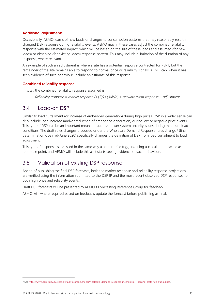#### **Additional adjustments**

Occasionally, AEMO learns of new loads or changes to consumption patterns that may reasonably result in changed DER response during reliability events. AEMO may in these cases adjust the combined reliability response with the estimated impact, which will be based on the size of these loads and assumed (for new loads) or observed (for existing loads) response pattern. This may include a limitation of the duration of any response, where relevant.

An example of such an adjustment is where a site has a potential response contracted for RERT, but the remainder of the site remains able to respond to normal price or reliability signals. AEMO can, when it has seen evidence of such behaviour, include an estimate of this response.

#### **Combined reliability response**

In total, the combined reliability response assumed is:

*Reliability response = market response (>\$7,500/MWh) + network event response + adjustment*

### <span id="page-14-0"></span>3.4 Load-on DSP

Similar to load curtailment (or increase of embedded generation) during high prices, DSP in a wider sense can also include load increase (and/or reduction of embedded generation) during low or negative price events. This type of DSP can be an important means to address power system security issues during minimum load conditions. The draft rules changes proposed under the Wholesale Demand Response rules change<sup>11</sup> (final determination due mid-June 2020) specifically changes the definition of DSP from load curtailment to load adjustment.

This type of response is assessed in the same way as other price triggers, using a calculated baseline as reference point, and AEMO will include this as it starts seeing evidence of such behaviour.

# <span id="page-14-1"></span>3.5 Validation of existing DSP response

Ahead of publishing the final DSP forecasts, both the market response and reliability response projections are verified using the information submitted to the DSP IP and the most recent observed DSP responses to both high price and reliability events.

Draft DSP forecasts will be presented to AEMO's Forecasting Reference Group for feedback.

AEMO will, where required based on feedback, update the forecast before publishing as final.

<sup>11</sup> Se[e https://www.aemc.gov.au/sites/default/files/documents/wholesale\\_demand\\_response\\_mechanism\\_-\\_second\\_draft\\_rule\\_tracked.pdf.](https://www.aemc.gov.au/sites/default/files/documents/wholesale_demand_response_mechanism_-_second_draft_rule_tracked.pdf)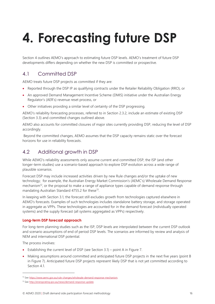# <span id="page-15-0"></span>**4. Forecasting future DSP**

Section [4](#page-15-0) outlines AEMO's approach to estimating future DSP levels. AEMO's treatment of future DSP developments differs depending on whether the new DSP is committed or prospective.

# <span id="page-15-1"></span>4.1 Committed DSP

AEMO treats future DSP projects as committed if they are:

- Reported through the DSP IP as qualifying contracts under the Retailer Reliability Obligation (RRO), or
- An approved Demand Management Incentive Scheme (DMIS) initiative under the Australian Energy Regulator's (AER's) revenue reset process, or
- Other initiatives providing a similar level of certainty of the DSP progressing.

AEMO's reliability forecasting processes, referred to in Section [2.3.2,](#page-5-1) include an estimate of existing DSP (Section [3.3\)](#page-13-0) and committed changes outlined above.

AEMO also accounts for committed closures of major sites currently providing DSP, reducing the level of DSP accordingly.

Beyond the committed changes, AEMO assumes that the DSP capacity remains static over the forecast horizons for use in reliability forecasts.

# <span id="page-15-2"></span>4.2 Additional growth in DSP

While AEMO's reliability assessments only assume current and committed DSP, the ISP (and other longer-term studies) use a scenario-based approach to explore DSP evolution across a wide range of plausible scenarios.

Forecast DSP may include increased activities driven by new Rule changes and/or the uptake of new technology; for example, the Australian Energy Market Commission's (AEMC's) Wholesale Demand Response mechanism<sup>12</sup>, or the proposal to make a range of appliance types capable of demand response through mandating Australian Standard 4755.2 for these<sup>13</sup>.

In keeping with Section 3.1, the forecast still excludes growth from technologies captured elsewhere in AEMO's forecasts. Examples of such technologies includes standalone battery storage, and storage operated in aggregate as VPPs. These technologies are accounted for in the demand forecast (individually operated systems) and the supply forecast (all systems aggregated as VPPs) respectively.

#### **Long-term DSP forecast approach**

For long-term planning studies such as the ISP, DSP levels are interpolated between the current DSP outlook and scenario assumptions of end of period DSP levels. The scenarios are informed by review and analysis of NEM and international DSP potential.

The process involves:

- Establishing the current level of DSP (see Section 3.1) point A in Figure 7.
- Making assumptions around committed and anticipated future DSP projects in the next five years (point B in Figure 7). Anticipated future DSP projects represent likely DSP that is not yet committed according to Section 4.1

<sup>12</sup> Se[e https://www.aemc.gov.au/rule-changes/wholesale-demand-response-mechanism.](https://www.aemc.gov.au/rule-changes/wholesale-demand-response-mechanism)

<sup>13</sup> Se[e http://energyrating.gov.au/news/demand-response-update.](http://energyrating.gov.au/news/demand-response-update)